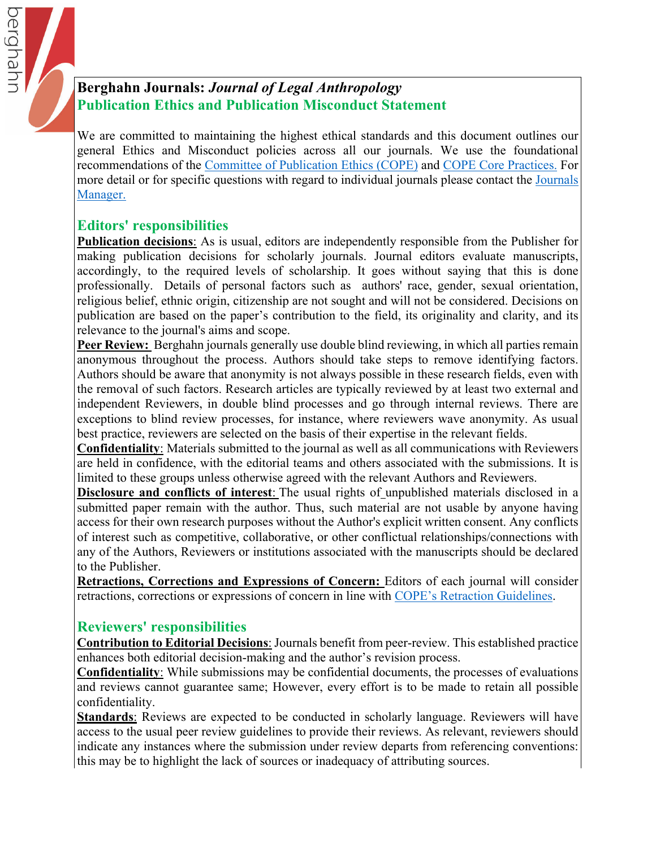# **Berghahn Journals:** *Journal of Legal Anthropology* **Publication Ethics and Publication Misconduct Statement**

We are committed to maintaining the highest ethical standards and this document outlines our general Ethics and Misconduct policies across all our journals. We use the foundational recommendations of the Co[mmittee of Publication Ethics \(C](https://publicationethics.org)OPE) and [COPE Core Practic](https://publicationethics.org/files/editable-bean/COPE_Core_Practices_0.pdf)es. For more detail or for specific questions with regard to individual journals please contact the [Journal](https://www.berghahnjournals.com/page/contact-us)s Manager.

### **Editors' responsibilities**

berghahr

**Publication decisions**: As is usual, editors are independently responsible from the Publisher for making publication decisions for scholarly journals. Journal editors evaluate manuscripts, accordingly, to the required levels of scholarship. It goes without saying that this is done professionally. Details of personal factors such as authors' race, gender, sexual orientation, religious belief, ethnic origin, citizenship are not sought and will not be considered. Decisions on publication are based on the paper's contribution to the field, its originality and clarity, and its relevance to the journal's aims and scope.

**Peer Review:** Berghahn journals generally use double blind reviewing, in which all parties remain anonymous throughout the process. Authors should take steps to remove identifying factors. Authors should be aware that anonymity is not always possible in these research fields, even with the removal of such factors. Research articles are typically reviewed by at least two external and independent Reviewers, in double blind processes and go through internal reviews. There are exceptions to blind review processes, for instance, where reviewers wave anonymity. As usual best practice, reviewers are selected on the basis of their expertise in the relevant fields.

**Confidentiality**: Materials submitted to the journal as well as all communications with Reviewers are held in confidence, with the editorial teams and others associated with the submissions. It is limited to these groups unless otherwise agreed with the relevant Authors and Reviewers.

**Disclosure and conflicts of interest**: The usual rights of unpublished materials disclosed in a submitted paper remain with the author. Thus, such material are not usable by anyone having access for their own research purposes without the Author's explicit written consent. Any conflicts of interest such as competitive, collaborative, or other conflictual relationships/connections with any of the Authors, Reviewers or institutions associated with the manuscripts should be declared to the Publisher.

**Retractions, Corrections and Expressions of Concern:** Editors of each journal will consider retractions, corrections or expressions of concern in line with C[OPE's Retraction Gui](https://publicationethics.org/retraction-guidelines)delines.

## **Reviewers' responsibilities**

**Contribution to Editorial Decisions**: Journals benefit from peer-review. This established practice enhances both editorial decision-making and the author's revision process.

**Confidentiality**: While submissions may be confidential documents, the processes of evaluations and reviews cannot guarantee same; However, every effort is to be made to retain all possible confidentiality.

**Standards**: Reviews are expected to be conducted in scholarly language. Reviewers will have access to the usual peer review guidelines to provide their reviews. As relevant, reviewers should indicate any instances where the submission under review departs from referencing conventions: this may be to highlight the lack of sources or inadequacy of attributing sources.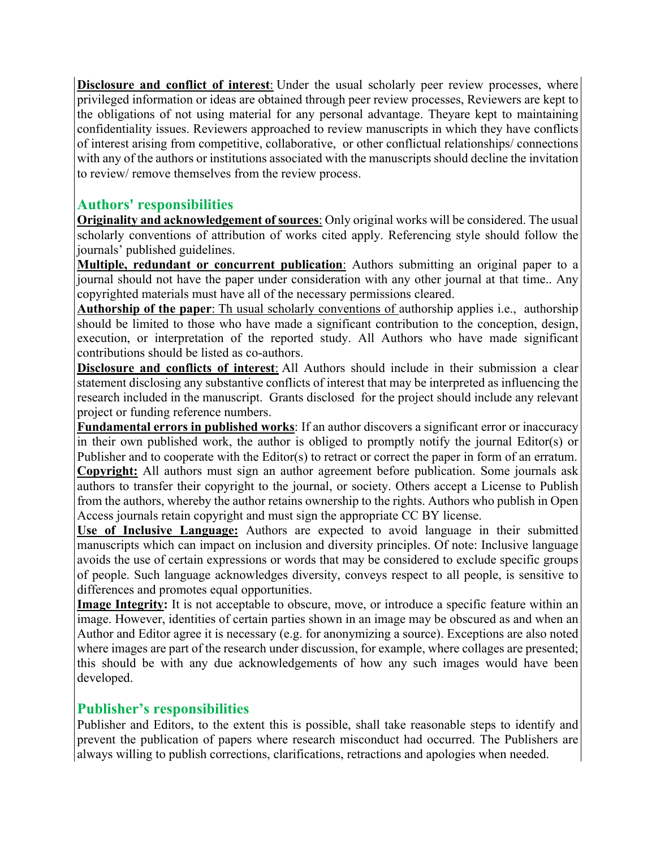**Disclosure and conflict of interest**: Under the usual scholarly peer review processes, where privileged information or ideas are obtained through peer review processes, Reviewers are kept to the obligations of not using material for any personal advantage. Theyare kept to maintaining confidentiality issues. Reviewers approached to review manuscripts in which they have conflicts of interest arising from competitive, collaborative, or other conflictual relationships/ connections with any of the authors or institutions associated with the manuscripts should decline the invitation to review/ remove themselves from the review process.

### **Authors' responsibilities**

**Originality and acknowledgement of sources**: Only original works will be considered. The usual scholarly conventions of attribution of works cited apply. Referencing style should follow the journals' published guidelines.

**Multiple, redundant or concurrent publication**: Authors submitting an original paper to a journal should not have the paper under consideration with any other journal at that time.. Any copyrighted materials must have all of the necessary permissions cleared.

**Authorship of the paper**: Th usual scholarly conventions of authorship applies i.e., authorship should be limited to those who have made a significant contribution to the conception, design, execution, or interpretation of the reported study. All Authors who have made significant contributions should be listed as co-authors.

**Disclosure and conflicts of interest**: All Authors should include in their submission a clear statement disclosing any substantive conflicts of interest that may be interpreted as influencing the research included in the manuscript. Grants disclosed for the project should include any relevant project or funding reference numbers.

**Fundamental errors in published works**: If an author discovers a significant error or inaccuracy in their own published work, the author is obliged to promptly notify the journal Editor(s) or Publisher and to cooperate with the Editor(s) to retract or correct the paper in form of an erratum. **Copyright:** All authors must sign an author agreement before publication. Some journals ask authors to transfer their copyright to the journal, or society. Others accept a License to Publish from the authors, whereby the author retains ownership to the rights. Authors who publish in Open Access journals retain copyright and must sign the appropriate CC BY license.

**Use of Inclusive Language:** Authors are expected to avoid language in their submitted manuscripts which can impact on inclusion and diversity principles. Of note: Inclusive language avoids the use of certain expressions or words that may be considered to exclude specific groups of people. Such language acknowledges diversity, conveys respect to all people, is sensitive to differences and promotes equal opportunities.

**Image Integrity:** It is not acceptable to obscure, move, or introduce a specific feature within an image. However, identities of certain parties shown in an image may be obscured as and when an Author and Editor agree it is necessary (e.g. for anonymizing a source). Exceptions are also noted where images are part of the research under discussion, for example, where collages are presented; this should be with any due acknowledgements of how any such images would have been developed.

### **Publisher's responsibilities**

Publisher and Editors, to the extent this is possible, shall take reasonable steps to identify and prevent the publication of papers where research misconduct had occurred. The Publishers are always willing to publish corrections, clarifications, retractions and apologies when needed.